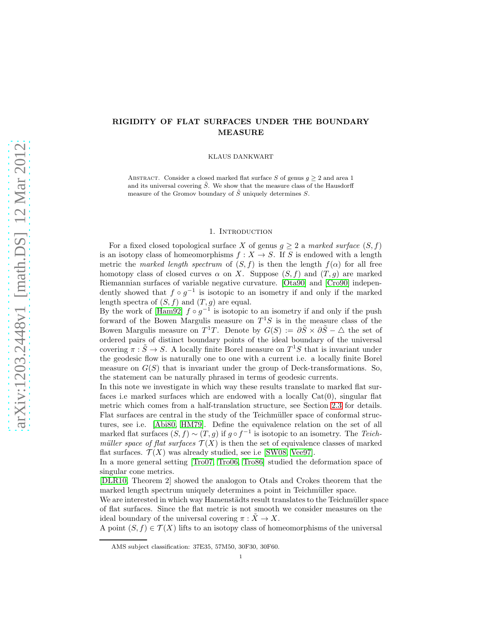# RIGIDITY OF FLAT SURFACES UNDER THE BOUNDARY MEASURE

KLAUS DANKWART

ABSTRACT. Consider a closed marked flat surface S of genus  $g \geq 2$  and area 1 and its universal covering  $\tilde{S}$ . We show that the measure class of the Hausdorff measure of the Gromov boundary of  $\tilde{S}$  uniquely determines S.

#### 1. Introduction

For a fixed closed topological surface X of genus  $g \geq 2$  a marked surface  $(S, f)$ is an isotopy class of homeomorphisms  $f: X \to S$ . If S is endowed with a length metric the marked length spectrum of  $(S, f)$  is then the length  $f(\alpha)$  for all free homotopy class of closed curves  $\alpha$  on X. Suppose  $(S, f)$  and  $(T, q)$  are marked Riemannian surfaces of variable negative curvature. [\[Ota90\]](#page-9-0) and [\[Cro90\]](#page-9-1) independently showed that  $f \circ g^{-1}$  is isotopic to an isometry if and only if the marked length spectra of  $(S, f)$  and  $(T, g)$  are equal.

By the work of [\[Ham92\]](#page-9-2)  $f \circ g^{-1}$  is isotopic to an isometry if and only if the push forward of the Bowen Margulis measure on  $T^1S$  is in the measure class of the Bowen Margulis measure on  $T^1T$ . Denote by  $G(S) := \partial \tilde{S} \times \partial \tilde{S} - \Delta$  the set of ordered pairs of distinct boundary points of the ideal boundary of the universal covering  $\pi : \tilde{S} \to S$ . A locally finite Borel measure on  $T^1S$  that is invariant under the geodesic flow is naturally one to one with a current i.e. a locally finite Borel measure on  $G(S)$  that is invariant under the group of Deck-transformations. So, the statement can be naturally phrased in terms of geodesic currents.

In this note we investigate in which way these results translate to marked flat surfaces i.e marked surfaces which are endowed with a locally  $Cat(0)$ , singular flat metric which comes from a half-translation structure, see Section [2.3](#page-5-0) for details. Flat surfaces are central in the study of the Teichmüller space of conformal structures, see i.e. [\[Abi80,](#page-9-3) [HM79\]](#page-9-4). Define the equivalence relation on the set of all marked flat surfaces  $(S, f) \sim (T, g)$  if  $g \circ f^{-1}$  is isotopic to an isometry. The Teichmüller space of flat surfaces  $\mathcal{T}(X)$  is then the set of equivalence classes of marked flat surfaces.  $\mathcal{T}(X)$  was already studied, see i.e [\[SW08,](#page-10-0) [Vee97\]](#page-10-1).

In a more general setting [\[Tro07,](#page-10-2) [Tro06,](#page-10-3) [Tro86\]](#page-10-4) studied the deformation space of singular cone metrics.

[\[DLR10,](#page-9-5) Theorem 2] showed the analogon to Otals and Crokes theorem that the marked length spectrum uniquely determines a point in Teichmüller space.

We are interested in which way Hamenstädts result translates to the Teichmüller space of flat surfaces. Since the flat metric is not smooth we consider measures on the ideal boundary of the universal covering  $\pi : \tilde{X} \to X$ .

A point  $(S, f) \in \mathcal{T}(X)$  lifts to an isotopy class of homeomorphisms of the universal

AMS subject classification: 37E35, 57M50, 30F30, 30F60.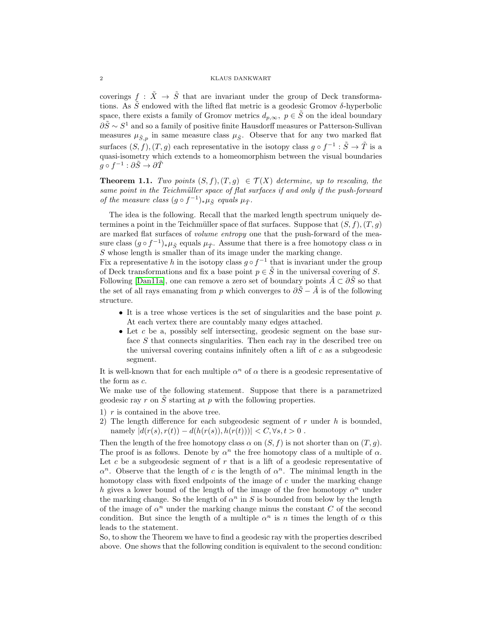coverings  $f : \tilde{X} \to \tilde{S}$  that are invariant under the group of Deck transformations. As  $\tilde{S}$  endowed with the lifted flat metric is a geodesic Gromov  $\delta$ -hyperbolic space, there exists a family of Gromov metrics  $d_{p,\infty}$ ,  $p \in \tilde{S}$  on the ideal boundary  $\partial \tilde{S} \sim S^1$  and so a family of positive finite Hausdorff measures or Patterson-Sullivan measures  $\mu_{\tilde{S},p}$  in same measure class  $\mu_{\tilde{S}}$ . Observe that for any two marked flat surfaces  $(S, f), (T, g)$  each representative in the isotopy class  $g \circ f^{-1} : \tilde{S} \to \tilde{T}$  is a quasi-isometry which extends to a homeomorphism between the visual boundaries  $g\circ f^{-1}:\partial \tilde S\to \partial \tilde T$ 

<span id="page-1-0"></span>**Theorem 1.1.** Two points  $(S, f), (T, g) \in T(X)$  determine, up to rescaling, the same point in the Teichmüller space of flat surfaces if and only if the push-forward of the measure class  $(g \circ f^{-1})_* \mu_{\tilde{S}}$  equals  $\mu_{\tilde{T}}$ .

The idea is the following. Recall that the marked length spectrum uniquely determines a point in the Teichmüller space of flat surfaces. Suppose that  $(S, f), (T, q)$ are marked flat surfaces of *volume entropy* one that the push-forward of the measure class  $(g \circ f^{-1})_* \mu_{\tilde{S}}$  equals  $\mu_{\tilde{T}}$ . Assume that there is a free homotopy class  $\alpha$  in  $S$  whose length is smaller than of its image under the marking change.

Fix a representative h in the isotopy class  $g \circ f^{-1}$  that is invariant under the group of Deck transformations and fix a base point  $p \in \tilde{S}$  in the universal covering of S. Following [\[Dan11a\]](#page-9-6), one can remove a zero set of boundary points  $\tilde{A} \subset \partial \tilde{S}$  so that the set of all rays emanating from p which converges to  $\partial \tilde{S} - \tilde{A}$  is of the following structure.

- It is a tree whose vertices is the set of singularities and the base point  $p$ . At each vertex there are countably many edges attached.
- Let c be a, possibly self intersecting, geodesic segment on the base surface S that connects singularities. Then each ray in the described tree on the universal covering contains infinitely often a lift of  $c$  as a subgeodesic segment.

It is well-known that for each multiple  $\alpha^n$  of  $\alpha$  there is a geodesic representative of the form as c.

We make use of the following statement. Suppose that there is a parametrized geodesic ray r on  $\tilde{S}$  starting at p with the following properties.

1)  $r$  is contained in the above tree.

2) The length difference for each subgeodesic segment of  $r$  under  $h$  is bounded, namely  $|d(r(s), r(t)) - d(h(r(s)), h(r(t)))| < C, \forall s, t > 0$ .

Then the length of the free homotopy class  $\alpha$  on  $(S, f)$  is not shorter than on  $(T, q)$ . The proof is as follows. Denote by  $\alpha^n$  the free homotopy class of a multiple of  $\alpha$ . Let c be a subgeodesic segment of  $r$  that is a lift of a geodesic representative of  $\alpha^n$ . Observe that the length of c is the length of  $\alpha^n$ . The minimal length in the homotopy class with fixed endpoints of the image of  $c$  under the marking change h gives a lower bound of the length of the image of the free homotopy  $\alpha^n$  under the marking change. So the length of  $\alpha^n$  in S is bounded from below by the length of the image of  $\alpha^n$  under the marking change minus the constant C of the second condition. But since the length of a multiple  $\alpha^n$  is n times the length of  $\alpha$  this leads to the statement.

So, to show the Theorem we have to find a geodesic ray with the properties described above. One shows that the following condition is equivalent to the second condition: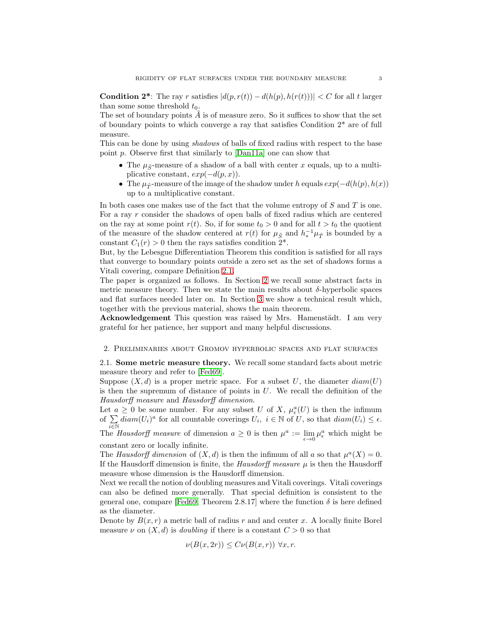**Condition 2<sup>\*</sup>**: The ray r satisfies  $|d(p, r(t)) - d(h(p), h(r(t)))| < C$  for all t larger than some some threshold  $t_0$ .

The set of boundary points  $A$  is of measure zero. So it suffices to show that the set of boundary points to which converge a ray that satisfies Condition  $2^*$  are of full measure.

This can be done by using shadows of balls of fixed radius with respect to the base point p. Observe first that similarly to [\[Dan11a\]](#page-9-6) one can show that

- The  $\mu_{\tilde{S}}$ -measure of a shadow of a ball with center x equals, up to a multiplicative constant,  $exp(-d(p, x))$ .
- The  $\mu_{\tilde{T}}$ -measure of the image of the shadow under h equals  $exp(-d(h(p), h(x)))$ up to a multiplicative constant.

In both cases one makes use of the fact that the volume entropy of  $S$  and  $T$  is one. For a ray r consider the shadows of open balls of fixed radius which are centered on the ray at some point  $r(t)$ . So, if for some  $t_0 > 0$  and for all  $t > t_0$  the quotient of the measure of the shadow centered at  $r(t)$  for  $\mu_{\tilde{S}}$  and  $h_*^{-1}\mu_{\tilde{T}}$  is bounded by a constant  $C_1(r) > 0$  then the rays satisfies condition  $2^*$ .

But, by the Lebesgue Differentiation Theorem this condition is satisfied for all rays that converge to boundary points outside a zero set as the set of shadows forms a Vitali covering, compare Definition [2.1.](#page-3-0)

The paper is organized as follows. In Section [2](#page-2-0) we recall some abstract facts in metric measure theory. Then we state the main results about  $\delta$ -hyperbolic spaces and flat surfaces needed later on. In Section [3](#page-7-0) we show a technical result which, together with the previous material, shows the main theorem.

Acknowledgement This question was raised by Mrs. Hamenstädt. I am very grateful for her patience, her support and many helpful discussions.

#### <span id="page-2-0"></span>2. Preliminaries about Gromov hyperbolic spaces and flat surfaces

2.1. Some metric measure theory. We recall some standard facts about metric measure theory and refer to [\[Fed69\]](#page-9-7).

Suppose  $(X, d)$  is a proper metric space. For a subset U, the diameter  $diam(U)$ is then the supremum of distance of points in  $U$ . We recall the definition of the Hausdorff measure and Hausdorff dimension.

Let  $a \geq 0$  be some number. For any subset U of X,  $\mu_{\epsilon}^{a}(U)$  is then the infimum of  $\sum_{i\in\mathbb{N}} diam(U_i)^a$  for all countable coverings  $U_i$ ,  $i\in\mathbb{N}$  of  $U$ , so that  $diam(U_i) \leq \epsilon$ .

The *Hausdorff measure* of dimension  $a \geq 0$  is then  $\mu^a := \lim_{\epsilon \to 0} \mu_{\epsilon}^a$  which might be constant zero or locally infinite.

The Hausdorff dimension of  $(X, d)$  is then the infimum of all a so that  $\mu^a(X) = 0$ . If the Hausdorff dimension is finite, the *Hausdorff measure*  $\mu$  is then the Hausdorff measure whose dimension is the Hausdorff dimension.

Next we recall the notion of doubling measures and Vitali coverings. Vitali coverings can also be defined more generally. That special definition is consistent to the general one, compare [\[Fed69,](#page-9-7) Theorem 2.8.17] where the function  $\delta$  is here defined as the diameter.

Denote by  $B(x, r)$  a metric ball of radius r and and center x. A locally finite Borel measure  $\nu$  on  $(X, d)$  is *doubling* if there is a constant  $C > 0$  so that

$$
\nu(B(x, 2r)) \le C \nu(B(x, r)) \,\,\forall x, r.
$$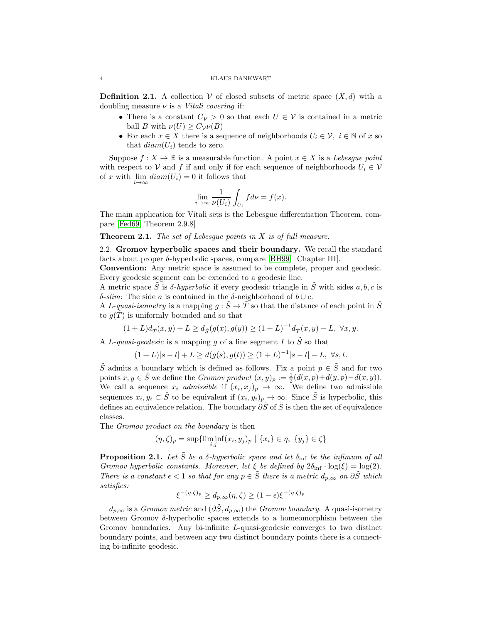#### 4 KLAUS DANKWART

<span id="page-3-0"></span>**Definition 2.1.** A collection V of closed subsets of metric space  $(X, d)$  with a doubling measure  $\nu$  is a *Vitali covering* if:

- There is a constant  $C_{\mathcal{V}} > 0$  so that each  $U \in \mathcal{V}$  is contained in a metric ball B with  $\nu(U) \geq C_{\mathcal{V}}\nu(B)$
- For each  $x \in X$  there is a sequence of neighborhoods  $U_i \in \mathcal{V}$ ,  $i \in \mathbb{N}$  of x so that  $diam(U_i)$  tends to zero.

Suppose  $f: X \to \mathbb{R}$  is a measurable function. A point  $x \in X$  is a Lebesque point with respect to V and f if and only if for each sequence of neighborhoods  $U_i \in V$ of x with  $\lim_{i \to \infty} diam(U_i) = 0$  it follows that

$$
\lim_{i \to \infty} \frac{1}{\nu(U_i)} \int_{U_i} f d\nu = f(x).
$$

The main application for Vitali sets is the Lebesgue differentiation Theorem, compare [\[Fed69,](#page-9-7) Theorem 2.9.8]

**Theorem 2.1.** The set of Lebesque points in  $X$  is of full measure.

2.2. Gromov hyperbolic spaces and their boundary. We recall the standard facts about proper  $\delta$ -hyperbolic spaces, compare [\[BH99,](#page-9-8) Chapter III].

Convention: Any metric space is assumed to be complete, proper and geodesic. Every geodesic segment can be extended to a geodesic line.

A metric space  $\tilde{S}$  is  $\delta$ -hyperbolic if every geodesic triangle in  $\tilde{S}$  with sides a, b, c is δ-slim: The side a is contained in the δ-neighborhood of  $b \cup c$ .

A L-quasi-isometry is a mapping  $g : \tilde{S} \to \tilde{T}$  so that the distance of each point in  $\tilde{S}$ to  $g(T)$  is uniformly bounded and so that

$$
(1+L)d_{\tilde{T}}(x,y)+L\geq d_{\tilde{S}}(g(x),g(y))\geq (1+L)^{-1}d_{\tilde{T}}(x,y)-L,\;\forall x,y.
$$

A L-quasi-geodesic is a mapping g of a line segment I to  $\tilde{S}$  so that

$$
(1+L)|s-t|+L \ge d(g(s), g(t)) \ge (1+L)^{-1}|s-t| - L, \ \forall s, t.
$$

 $\tilde{S}$  admits a boundary which is defined as follows. Fix a point  $p \in \tilde{S}$  and for two points  $x, y \in \tilde{S}$  we define the *Gromov product*  $(x, y)_p := \frac{1}{2}(d(x, p) + d(y, p) - d(x, y)).$ We call a sequence  $x_i$  admissible if  $(x_i, x_j)_p \to \infty$ . We define two admissible sequences  $x_i, y_i \subset \tilde{S}$  to be equivalent if  $(x_i, y_i)_p \to \infty$ . Since  $\tilde{S}$  is hyperbolic, this defines an equivalence relation. The boundary  $\partial \tilde{S}$  of  $\tilde{S}$  is then the set of equivalence classes.

The *Gromov product on the boundary* is then

$$
(\eta, \zeta)_p = \sup \{ \liminf_{i,j} (x_i, y_j)_p \mid \{x_i\} \in \eta, \{y_j\} \in \zeta \}
$$

<span id="page-3-1"></span>**Proposition 2.1.** Let  $\tilde{S}$  be a  $\delta$ -hyperbolic space and let  $\delta_{\text{inf}}$  be the infimum of all Gromov hyperbolic constants. Moreover, let  $\xi$  be defined by  $2\delta_{\text{inf}} \cdot \log(\xi) = \log(2)$ . There is a constant  $\epsilon < 1$  so that for any  $p \in \hat{S}$  there is a metric  $d_{p,\infty}$  on  $\partial \hat{S}$  which satisfies:

$$
\xi^{-(\eta,\zeta)_p} \ge d_{p,\infty}(\eta,\zeta) \ge (1-\epsilon)\xi^{-(\eta,\zeta)_p}
$$

 $d_{p,\infty}$  is a *Gromov metric* and  $(\partial \tilde{S}, d_{p,\infty})$  the *Gromov boundary*. A quasi-isometry between Gromov δ-hyperbolic spaces extends to a homeomorphism between the Gromov boundaries. Any bi-infinite L-quasi-geodesic converges to two distinct boundary points, and between any two distinct boundary points there is a connecting bi-infinite geodesic.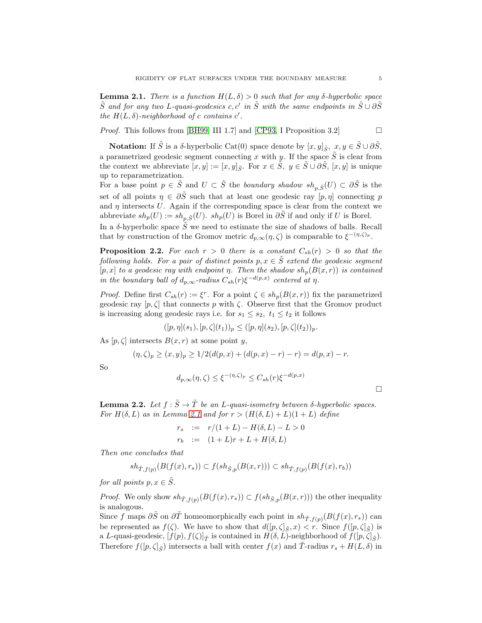<span id="page-4-0"></span>**Lemma 2.1.** There is a function  $H(L, \delta) > 0$  such that for any  $\delta$ -hyperbolic space  $\tilde{S}$  and for any two L-quasi-geodesics c, c' in  $\tilde{S}$  with the same endpoints in  $\tilde{S} \cup \partial \tilde{S}$ the  $H(L, \delta)$ -neighborhood of c contains c'.

*Proof.* This follows from [\[BH99,](#page-9-8) III 1.7] and [\[CP93,](#page-9-9) I Proposition 3.2]

**Notation:** If  $\tilde{S}$  is a  $\delta$ -hyperbolic Cat(0) space denote by  $[x, y]_{\tilde{S}}, x, y \in \tilde{S} \cup \partial \tilde{S}$ , a parametrized geodesic segment connecting x with y. If the space  $\tilde{S}$  is clear from the context we abbreviate  $[x, y] := [x, y]_{\tilde{S}}$ . For  $x \in \tilde{S}$ ,  $y \in \tilde{S} \cup \partial \tilde{S}$ ,  $[x, y]$  is unique up to reparametrization.

For a base point  $p \in \tilde{S}$  and  $U \subset \tilde{S}$  the boundary shadow  $sh_{p,\tilde{S}}(U) \subset \partial \tilde{S}$  is the set of all points  $\eta \in \partial \tilde{S}$  such that at least one geodesic ray  $[p, \eta]$  connecting p and  $\eta$  intersects U. Again if the corresponding space is clear from the context we abbreviate  $sh_p(U) := sh_{p,\tilde{S}}(U)$ .  $sh_p(U)$  is Borel in  $\partial \tilde{S}$  if and only if U is Borel.

In a  $\delta$ -hyperbolic space  $\tilde{S}$  we need to estimate the size of shadows of balls. Recall that by construction of the Gromov metric  $d_{p,\infty}(\eta,\zeta)$  is comparable to  $\xi^{-(\eta,\zeta)_p}$ .

<span id="page-4-1"></span>**Proposition 2.2.** For each  $r > 0$  there is a constant  $C_{sh}(r) > 0$  so that the following holds. For a pair of distinct points  $p, x \in \tilde{S}$  extend the geodesic segment  $[p, x]$  to a geodesic ray with endpoint  $\eta$ . Then the shadow  $sh_p(B(x, r))$  is contained in the boundary ball of  $d_{p,\infty}$ -radius  $C_{sh}(r)\xi^{-d(p,x)}$  centered at  $\eta$ .

*Proof.* Define first  $C_{sh}(r) := \xi^r$ . For a point  $\zeta \in sh_p(B(x,r))$  fix the parametrized geodesic ray  $[p, \zeta]$  that connects p with  $\zeta$ . Observe first that the Gromov product is increasing along geodesic rays i.e. for  $s_1 \leq s_2$ ,  $t_1 \leq t_2$  it follows

$$
([p,\eta](s_1),[p,\zeta](t_1))_p\leq ([p,\eta](s_2),[p,\zeta](t_2))_p.
$$

As  $[p,\zeta]$  intersects  $B(x,r)$  at some point y,

$$
(\eta, \zeta)_p \ge (x, y)_p \ge 1/2(d(p, x) + (d(p, x) - r) - r) = d(p, x) - r.
$$

So

$$
d_{p,\infty}(\eta,\zeta) \le \xi^{-(\eta,\zeta)_p} \le C_{sh}(r)\xi^{-d(p,x)}
$$

<span id="page-4-2"></span>**Lemma 2.2.** Let  $f : \tilde{S} \to \tilde{T}$  be an L-quasi-isometry between  $\delta$ -hyperbolic spaces. For  $H(\delta, L)$  as in Lemma [2.1](#page-4-0) and for  $r > (H(\delta, L) + L)(1 + L)$  define

$$
r_s := r/(1+L) - H(\delta, L) - L > 0
$$
  

$$
r_b := (1+L)r + L + H(\delta, L)
$$

Then one concludes that

$$
sh_{\tilde{T},f(p)}(B(f(x),r_s))\subset f(sh_{\tilde{S},p}(B(x,r)))\subset sh_{\tilde{T},f(p)}(B(f(x),r_b))
$$

for all points  $p, x \in \tilde{S}$ .

*Proof.* We only show  $sh_{\tilde{T},f(p)}(B(f(x), r_s)) \subset f(sh_{\tilde{S},p}(B(x,r)))$  the other inequality is analogous.

Since f maps  $\partial \tilde{S}$  on  $\partial \tilde{T}$  homeomorphically each point in  $sh_{\tilde{T},f(p)}(B(f(x), r_s))$  can be represented as  $f(\zeta)$ . We have to show that  $d([p,\zeta]_{\tilde{S}},x) < r$ . Since  $f([p,\zeta]_{\tilde{S}})$  is a L-quasi-geodesic,  $[f(p), f(\zeta)]_{\tilde{T}}$  is contained in  $H(\delta, L)$ -neighborhood of  $f([p, \zeta]_{\tilde{S}})$ . Therefore  $f([p,\zeta]_{\tilde{S}})$  intersects a ball with center  $f(x)$  and T-radius  $r_s + H(L,\delta)$  in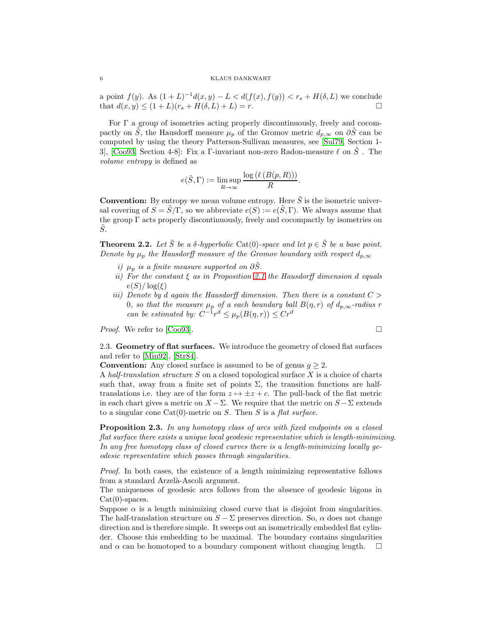### 6 KLAUS DANKWART

a point  $f(y)$ . As  $(1+L)^{-1}d(x,y) - L < d(f(x), f(y)) < r_s + H(\delta, L)$  we conclude that  $d(x, y) \le (1 + L)(r_s + H(\delta, L) + L) = r$ .

For Γ a group of isometries acting properly discontinuously, freely and cocompactly on S, the Hausdorff measure  $\mu_p$  of the Gromov metric  $d_{p,\infty}$  on  $\partial S$  can be computed by using the theory Patterson-Sullivan measures, see [\[Sul79,](#page-10-5) Section 1- 3], [\[Coo93,](#page-9-10) Section 4-8]: Fix a Γ-invariant non-zero Radon-measure  $\ell$  on  $\tilde{S}$ . The volume entropy is defined as

$$
e(\tilde{S}, \Gamma) := \limsup_{R \to \infty} \frac{\log (\ell (B(p, R)))}{R}.
$$

**Convention:** By entropy we mean volume entropy. Here  $\tilde{S}$  is the isometric universal covering of  $S = \tilde{S}/\Gamma$ , so we abbreviate  $e(S) := e(\tilde{S}, \Gamma)$ . We always assume that the group  $\Gamma$  acts properly discontinuously, freely and cocompactly by isometries on  $\tilde{S}$ .

<span id="page-5-1"></span>**Theorem 2.2.** Let  $\tilde{S}$  be a  $\delta$ -hyperbolic Cat(0)-space and let  $p \in \tilde{S}$  be a base point. Denote by  $\mu_p$  the Hausdorff measure of the Gromov boundary with respect  $d_{p,\infty}$ 

- i)  $\mu_p$  is a finite measure supported on  $\partial \tilde{S}$ .
- ii) For the constant  $\xi$  as in Proposition [2.1](#page-3-1) the Hausdorff dimension d equals  $e(S)/\log(\xi)$
- iii) Denote by d again the Hausdorff dimension. Then there is a constant  $C >$ 0, so that the measure  $\mu_p$  of a each boundary ball  $B(\eta,r)$  of  $d_{p,\infty}$ -radius r can be estimated by:  $C^{-1}r^d \leq \mu_p(B(\eta,r)) \leq Cr^d$

Proof. We refer to [\[Coo93\]](#page-9-10).

$$
\exists
$$

<span id="page-5-0"></span>2.3. Geometry of flat surfaces. We introduce the geometry of closed flat surfaces and refer to [\[Min92\]](#page-9-11), [\[Str84\]](#page-9-12).

**Convention:** Any closed surface is assumed to be of genus  $q \geq 2$ .

A half-translation structure  $S$  on a closed topological surface  $X$  is a choice of charts such that, away from a finite set of points  $\Sigma$ , the transition functions are halftranslations i.e. they are of the form  $z \mapsto \pm z + c$ . The pull-back of the flat metric in each chart gives a metric on  $X - \Sigma$ . We require that the metric on  $S - \Sigma$  extends to a singular cone  $Cat(0)$ -metric on S. Then S is a flat surface.

Proposition 2.3. In any homotopy class of arcs with fixed endpoints on a closed flat surface there exists a unique local geodesic representative which is length-minimizing. In any free homotopy class of closed curves there is a length-minimizing locally geodesic representative which passes through singularities.

Proof. In both cases, the existence of a length minimizing representative follows from a standard Arzelà-Ascoli argument.

The uniqueness of geodesic arcs follows from the absence of geodesic bigons in  $Cat(0)$ -spaces.

Suppose  $\alpha$  is a length minimizing closed curve that is disjoint from singularities. The half-translation structure on  $S - \Sigma$  preserves direction. So,  $\alpha$  does not change direction and is therefore simple. It sweeps out an isometrically embedded flat cylinder. Choose this embedding to be maximal. The boundary contains singularities and  $\alpha$  can be homotoped to a boundary component without changing length.  $\square$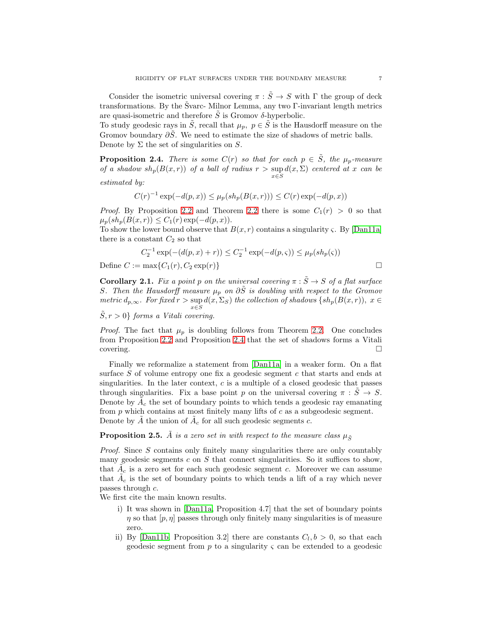Consider the isometric universal covering  $\pi : \tilde{S} \to S$  with  $\Gamma$  the group of deck transformations. By the Svarc- Milnor Lemma, any two  $\Gamma$ -invariant length metrics are quasi-isometric and therefore  $\tilde{S}$  is Gromov  $\delta$ -hyperbolic.

To study geodesic rays in  $\tilde{S}$ , recall that  $\mu_p$ ,  $p \in \tilde{S}$  is the Hausdorff measure on the Gromov boundary  $\partial \tilde{S}$ . We need to estimate the size of shadows of metric balls. Denote by  $\Sigma$  the set of singularities on  $S$ .

<span id="page-6-0"></span>**Proposition 2.4.** There is some  $C(r)$  so that for each  $p \in \tilde{S}$ , the  $\mu_p$ -measure of a shadow  $sh_p(B(x,r))$  of a ball of radius  $r > \sup d(x,\Sigma)$  centered at x can be x∈S

estimated by:

$$
C(r)^{-1} \exp(-d(p, x)) \le \mu_p(sh_p(B(x, r))) \le C(r) \exp(-d(p, x))
$$

*Proof.* By Proposition [2.2](#page-5-1) and Theorem 2.2 there is some  $C_1(r) > 0$  so that  $\mu_p(sh_p(B(x, r)) \leq C_1(r) \exp(-d(p, x)).$ 

To show the lower bound observe that  $B(x, r)$  contains a singularity  $\zeta$ . By [\[Dan11a\]](#page-9-6) there is a constant  $C_2$  so that

$$
C_2^{-1} \exp(-(d(p, x) + r)) \le C_2^{-1} \exp(-d(p, \varsigma)) \le \mu_p(sh_p(\varsigma))
$$
  
Define  $C := \max\{C_1(r), C_2 \exp(r)\}\$ 

**Corollary 2.1.** Fix a point p on the universal covering  $\pi : \tilde{S} \to S$  of a flat surface

S. Then the Hausdorff measure  $\mu_p$  on  $\partial \tilde{S}$  is doubling with respect to the Gromov metric  $d_{p,\infty}$ . For fixed  $r > \sup_{x \in S} d(x, \Sigma_S)$  the collection of shadows  $\{sh_p(B(x,r)), x \in S\}$ 

 $\tilde{S}, r > 0$ } forms a Vitali covering.

*Proof.* The fact that  $\mu_p$  is doubling follows from Theorem [2.2.](#page-5-1) One concludes from Proposition [2.2](#page-4-1) and Proposition [2.4](#page-6-0) that the set of shadows forms a Vitali  $\Box$ covering.

Finally we reformalize a statement from [\[Dan11a\]](#page-9-6) in a weaker form. On a flat surface S of volume entropy one fix a geodesic segment c that starts and ends at singularities. In the later context, c is a multiple of a closed geodesic that passes through singularities. Fix a base point p on the universal covering  $\pi : S \rightarrow S$ . Denote by  $\tilde{A}_c$  the set of boundary points to which tends a geodesic ray emanating from  $p$  which contains at most finitely many lifts of  $c$  as a subgeodesic segment. Denote by  $\tilde{A}$  the union of  $\tilde{A}_c$  for all such geodesic segments c.

## <span id="page-6-1"></span>**Proposition 2.5.** A is a zero set in with respect to the measure class  $\mu_{\tilde{S}}$

Proof. Since S contains only finitely many singularities there are only countably many geodesic segments  $c$  on  $S$  that connect singularities. So it suffices to show, that  $\tilde{A}_c$  is a zero set for each such geodesic segment c. Moreover we can assume that  $\tilde{A}_c$  is the set of boundary points to which tends a lift of a ray which never passes through c.

We first cite the main known results.

- i) It was shown in [\[Dan11a,](#page-9-6) Proposition 4.7] that the set of boundary points  $\eta$  so that  $[p, \eta]$  passes through only finitely many singularities is of measure zero.
- ii) By [\[Dan11b,](#page-9-13) Proposition 3.2] there are constants  $C_l, b > 0$ , so that each geodesic segment from  $p$  to a singularity  $\varsigma$  can be extended to a geodesic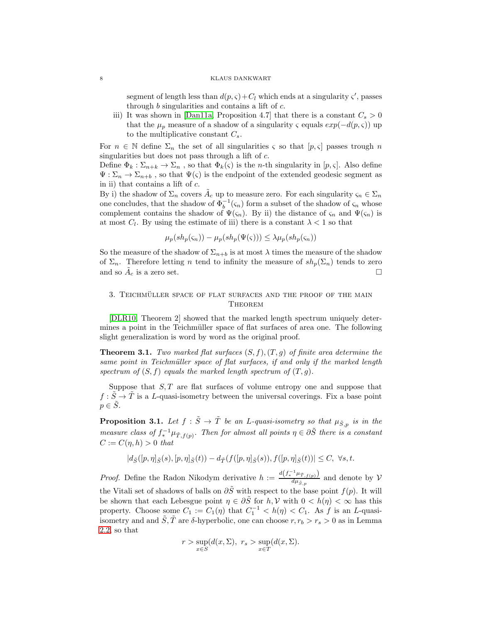#### 8 KLAUS DANKWART

segment of length less than  $d(p, \zeta) + C_l$  which ends at a singularity  $\zeta'$ , passes through  $b$  singularities and contains a lift of  $c$ .

iii) It was shown in [\[Dan11a,](#page-9-6) Proposition 4.7] that there is a constant  $C_s > 0$ that the  $\mu_p$  measure of a shadow of a singularity  $\varsigma$  equals  $exp(-d(p, \varsigma))$  up to the multiplicative constant  $C_s$ .

For  $n \in \mathbb{N}$  define  $\Sigma_n$  the set of all singularities  $\varsigma$  so that  $[p,\varsigma]$  passes trough n singularities but does not pass through a lift of c.

Define  $\Phi_k : \Sigma_{n+k} \to \Sigma_n$ , so that  $\Phi_k(\varsigma)$  is the *n*-th singularity in [*p*, *ς*]. Also define  $\Psi : \Sigma_n \to \Sigma_{n+b}$ , so that  $\Psi(\zeta)$  is the endpoint of the extended geodesic segment as in ii) that contains a lift of c.

By i) the shadow of  $\Sigma_n$  covers  $\tilde{A}_c$  up to measure zero. For each singularity  $\varsigma_n \in \Sigma_n$ one concludes, that the shadow of  $\Phi_b^{-1}(\varsigma_n)$  form a subset of the shadow of  $\varsigma_n$  whose complement contains the shadow of  $\Psi(\varsigma_n)$ . By ii) the distance of  $\varsigma_n$  and  $\Psi(\varsigma_n)$  is at most  $C_l$ . By using the estimate of iii) there is a constant  $\lambda < 1$  so that

$$
\mu_p(sh_p(\varsigma_n)) - \mu_p(sh_p(\Psi(\varsigma))) \leq \lambda \mu_p(sh_p(\varsigma_n))
$$

So the measure of the shadow of  $\Sigma_{n+b}$  is at most  $\lambda$  times the measure of the shadow of  $\Sigma_n$ . Therefore letting n tend to infinity the measure of  $sh_p(\Sigma_n)$  tends to zero and so  $\tilde{A}_c$  is a zero set.

# <span id="page-7-0"></span>3. TEICHMÜLLER SPACE OF FLAT SURFACES AND THE PROOF OF THE MAIN **THEOREM**

[\[DLR10,](#page-9-5) Theorem 2] showed that the marked length spectrum uniquely determines a point in the Teichmüller space of flat surfaces of area one. The following slight generalization is word by word as the original proof.

<span id="page-7-2"></span>**Theorem 3.1.** Two marked flat surfaces  $(S, f), (T, g)$  of finite area determine the same point in Teichmüller space of flat surfaces, if and only if the marked length spectrum of  $(S, f)$  equals the marked length spectrum of  $(T, g)$ .

Suppose that  $S$ ,  $T$  are flat surfaces of volume entropy one and suppose that  $f : \tilde{S} \to \tilde{T}$  is a L-quasi-isometry between the universal coverings. Fix a base point  $p \in S$ .

<span id="page-7-1"></span>**Proposition 3.1.** Let  $f : \tilde{S} \to \tilde{T}$  be an L-quasi-isometry so that  $\mu_{\tilde{S},p}$  is in the measure class of  $f_*^{-1}\mu_{\tilde{T},f(p)}$ . Then for almost all points  $\eta \in \partial \tilde{S}$  there is a constant  $C := C(n, h) > 0$  that

$$
|d_{\tilde{S}}([p,\eta]_{\tilde{S}}(s),[p,\eta]_{\tilde{S}}(t))-d_{\tilde{T}}(f([p,\eta]_{\tilde{S}}(s)),f([p,\eta]_{\tilde{S}}(t))|\leq C,\ \forall s,t.
$$

*Proof.* Define the Radon Nikodym derivative  $h := \frac{d(f^{-1}_* \mu_{\bar{T},f(p)})}{d\mu_{\bar{T}}}$  $\frac{\mu_{T, f(p)}}{d\mu_{\tilde{S},p}}$  and denote by  $\mathcal V$ the Vitali set of shadows of balls on  $\partial \tilde{S}$  with respect to the base point  $f(p)$ . It will be shown that each Lebesgue point  $\eta \in \partial \tilde{S}$  for  $h, V$  with  $0 < h(\eta) < \infty$  has this property. Choose some  $C_1 := C_1(\eta)$  that  $C_1^{-1} < h(\eta) < C_1$ . As f is an L-quasiisometry and and  $\tilde{S}, \tilde{T}$  are  $\delta$ -hyperbolic, one can choose  $r, r_b > r_s > 0$  as in Lemma [2.2,](#page-4-2) so that

$$
r > \sup_{x \in S} (d(x, \Sigma), r_s > \sup_{x \in T} (d(x, \Sigma)).
$$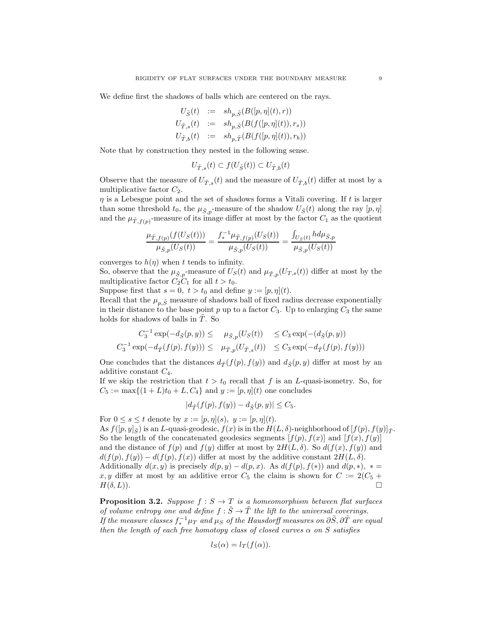We define first the shadows of balls which are centered on the rays.

$$
U_{\tilde{S}}(t) := sh_{p,\tilde{S}}(B([p,\eta](t),r))
$$
  
\n
$$
U_{\tilde{T},s}(t) := sh_{p,\tilde{S}}(B(f([p,\eta](t)),r_s))
$$
  
\n
$$
U_{\tilde{T},b}(t) := sh_{p,\tilde{T}}(B(f([p,\eta](t)),r_b))
$$

Note that by construction they nested in the following sense.

$$
U_{\tilde{T},s}(t) \subset f(U_{\tilde{S}}(t)) \subset U_{\tilde{T},b}(t)
$$

Observe that the measure of  $U_{\tilde{T},s}(t)$  and the measure of  $U_{\tilde{T},b}(t)$  differ at most by a multiplicative factor  $C_2$ .

 $\eta$  is a Lebesgue point and the set of shadows forms a Vitali covering. If t is larger than some threshold  $t_0$ , the  $\mu_{\tilde{S},p}$ -measure of the shadow  $U_{\tilde{S}}(t)$  along the ray  $[p, \eta]$ and the  $\mu_{\tilde{T},f(p)}$ -measure of its image differ at most by the factor  $C_1$  as the quotient

$$
\frac{\mu_{\tilde{T},f(p)}(f(U_S(t)))}{\mu_{\tilde{S},p}(U_S(t))} = \frac{f_*^{-1}\mu_{\tilde{T},f(p)}(U_S(t))}{\mu_{\tilde{S},p}(U_S(t))} = \frac{\int_{U_{\tilde{S}}(t)} h d\mu_{\tilde{S},p}}{\mu_{\tilde{S},p}(U_S(t))}
$$

converges to  $h(\eta)$  when t tends to infinity.

So, observe that the  $\mu_{\tilde{S},p}$ -measure of  $U_S(t)$  and  $\mu_{\tilde{T},p}(U_{T,s}(t))$  differ at most by the multiplicative factor  $C_2C_1$  for all  $t > t_0$ .

Suppose first that  $s = 0, t > t_0$  and define  $y := [p, \eta](t)$ .

Recall that the  $\mu_{p,\tilde{S}}$  measure of shadows ball of fixed radius decrease exponentially in their distance to the base point  $p$  up to a factor  $C_3$ . Up to enlarging  $C_3$  the same holds for shadows of balls in  $\tilde{T}$ . So

$$
C_3^{-1} \exp(-d_{\tilde{S}}(p, y)) \le \mu_{\tilde{S},p}(U_S(t)) \le C_3 \exp(-(d_{\tilde{S}}(p, y))
$$
  

$$
C_3^{-1} \exp(-d_{\tilde{T}}(f(p), f(y))) \le \mu_{\tilde{T},p}(U_{\tilde{T},s}(t)) \le C_3 \exp(-d_{\tilde{T}}(f(p), f(y)))
$$

One concludes that the distances  $d_{\tilde{T}}(f(p), f(y))$  and  $d_{\tilde{S}}(p, y)$  differ at most by an additive constant  $C_4$ .

If we skip the restriction that  $t > t_0$  recall that f is an L-quasi-isometry. So, for  $C_5 := \max\{(1+L)t_0 + L, C_4\}$  and  $y := [p, \eta](t)$  one concludes

$$
|d_{\tilde{T}}(f(p), f(y)) - d_{\tilde{S}}(p, y)| \leq C_5.
$$

For  $0 \leq s \leq t$  denote by  $x := [p, \eta](s)$ ,  $y := [p, \eta](t)$ . As  $f([p, y]_{\tilde{\sigma}})$  is an L-quasi-geodesic,  $f(x)$  is in the  $H(L, \delta)$ -neighborhood of  $[f(p), f(y)]_{\tilde{\sigma}}$ . So the length of the concatenated geodesics segments  $[f(p), f(x)]$  and  $[f(x), f(y)]$ and the distance of  $f(p)$  and  $f(y)$  differ at most by  $2H(L,\delta)$ . So  $d(f(x), f(y))$  and  $d(f(p), f(y)) - d(f(p), f(x))$  differ at most by the additive constant  $2H(L, \delta)$ . Additionally  $d(x, y)$  is precisely  $d(p, y) - d(p, x)$ . As  $d(f(p), f(*))$  and  $d(p, *)$ , \*= x, y differ at most by an additive error  $C_5$  the claim is shown for  $C := 2(C_5 +$  $H(\delta, L)$ ).

<span id="page-8-0"></span>**Proposition 3.2.** Suppose  $f : S \to T$  is a homeomorphism between flat surfaces of volume entropy one and define  $f : \tilde{S} \to \tilde{T}$  the lift to the universal coverings. If the measure classes  $f_*^{-1}\mu_T$  and  $\mu_S$  of the Hausdorff measures on  $\partial \tilde{S}, \partial \tilde{T}$  are equal then the length of each free homotopy class of closed curves  $\alpha$  on S satisfies

$$
l_S(\alpha) = l_T(f(\alpha)).
$$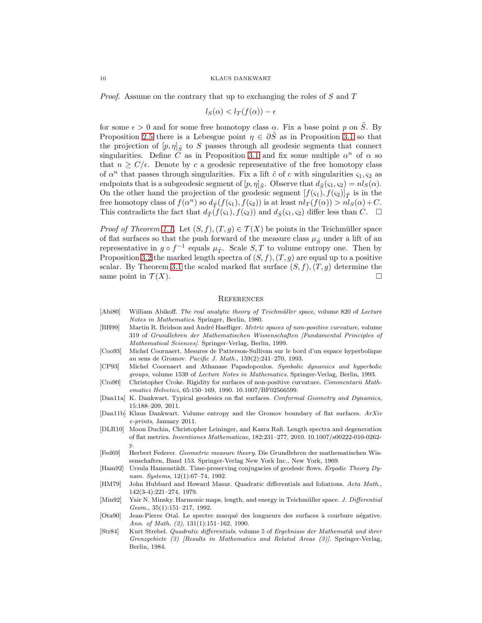Proof. Assume on the contrary that up to exchanging the roles of S and T

$$
l_S(\alpha) < l_T(f(\alpha)) - \epsilon
$$

for some  $\epsilon > 0$  and for some free homotopy class  $\alpha$ . Fix a base point p on  $\tilde{S}$ . By Proposition [2.5](#page-6-1) there is a Lebesgue point  $\eta \in \partial \tilde{S}$  as in Proposition [3.1](#page-7-1) so that the projection of  $[p, \eta]_{\tilde{S}}$  to S passes through all geodesic segments that connect singularities. Define C as in Proposition [3.1](#page-7-1) and fix some multiple  $\alpha^n$  of  $\alpha$  so that  $n \geq C/\epsilon$ . Denote by c a geodesic representative of the free homotopy class of  $\alpha^n$  that passes through singularities. Fix a lift  $\tilde{c}$  of c with singularities  $\varsigma_1, \varsigma_2$  as endpoints that is a subgeodesic segment of  $[p, \eta]_{\tilde{S}}$ . Observe that  $d_{\tilde{S}}(\varsigma_1, \varsigma_2) = nl_S(\alpha)$ . On the other hand the projection of the geodesic segment  $[f(\varsigma_1), f(\varsigma_2)]_{\tilde{T}}$  is in the free homotopy class of  $f(\alpha^n)$  so  $d_{\tilde{T}}(f(\varsigma_1), f(\varsigma_2))$  is at least  $nl_T(f(\alpha)) > nl_S(\alpha) + C$ . This contradicts the fact that  $d_{\tilde{T}}(f(\varsigma_1), f(\varsigma_2))$  and  $d_{\tilde{S}}(\varsigma_1, \varsigma_2)$  differ less than C.  $\Box$ 

*Proof of Theorem [1.1.](#page-1-0)* Let  $(S, f), (T, g) \in \mathcal{T}(X)$  be points in the Teichmüller space of flat surfaces so that the push forward of the measure class  $\mu_{\tilde{S}}$  under a lift of an representative in  $g \circ f^{-1}$  equals  $\mu_{\tilde{T}}$ . Scale  $S, T$  to volume entropy one. Then by Proposition [3.2](#page-8-0) the marked length spectra of  $(S, f), (T, g)$  are equal up to a positive scalar. By Theorem [3.1](#page-7-2) the scaled marked flat surface  $(S, f), (T, g)$  determine the same point in  $\mathcal{T}(X)$ .

### **REFERENCES**

- <span id="page-9-3"></span>[Abi80] William Abikoff. The real analytic theory of Teichmüller space, volume 820 of Lecture Notes in Mathematics. Springer, Berlin, 1980.
- <span id="page-9-8"></span>[BH99] Martin R. Bridson and André Haefliger. Metric spaces of non-positive curvature, volume 319 of Grundlehren der Mathematischen Wissenschaften [Fundamental Principles of Mathematical Sciences]. Springer-Verlag, Berlin, 1999.
- <span id="page-9-10"></span>[Coo93] Michel Coornaert. Mesures de Patterson-Sullivan sur le bord d'un espace hyperbolique au sens de Gromov. Pacific J. Math., 159(2):241–270, 1993.
- <span id="page-9-9"></span>[CP93] Michel Coornaert and Athanase Papadopoulos. Symbolic dynamics and hyperbolic groups, volume 1539 of Lecture Notes in Mathematics. Springer-Verlag, Berlin, 1993.
- <span id="page-9-1"></span>[Cro90] Christopher Croke. Rigidity for surfaces of non-positive curvature. Commentarii Mathematici Helvetici, 65:150–169, 1990. 10.1007/BF02566599.
- <span id="page-9-6"></span>[Dan11a] K. Dankwart. Typical geodesics on flat surfaces. Conformal Geometry and Dynamics, 15:188–209, 2011.
- <span id="page-9-13"></span>[Dan11b] Klaus Dankwart. Volume entropy and the Gromov boundary of flat surfaces. ArXiv e-prints, January 2011.
- <span id="page-9-5"></span>[DLR10] Moon Duchin, Christopher Leininger, and Kasra Rafi. Length spectra and degeneration of flat metrics. Inventiones Mathematicae, 182:231–277, 2010. 10.1007/s00222-010-0262 y.
- <span id="page-9-7"></span>[Fed69] Herbert Federer. Geometric measure theory. Die Grundlehren der mathematischen Wissenschaften, Band 153. Springer-Verlag New York Inc., New York, 1969.
- <span id="page-9-2"></span>[Ham92] Ursula Hamenstädt. Time-preserving conjugacies of geodesic flows. Ergodic Theory Dynam. Systems, 12(1):67–74, 1992.
- <span id="page-9-4"></span>[HM79] John Hubbard and Howard Masur. Quadratic differentials and foliations. Acta Math., 142(3-4):221–274, 1979.
- <span id="page-9-11"></span>[Min92] Yair N. Minsky. Harmonic maps, length, and energy in Teichmüller space. J. Differential Geom., 35(1):151–217, 1992.
- <span id="page-9-0"></span>[Ota90] Jean-Pierre Otal. Le spectre marqué des longueurs des surfaces à courbure négative. Ann. of Math. (2), 131(1):151–162, 1990.
- <span id="page-9-12"></span>[Str84] Kurt Strebel. Quadratic differentials, volume 5 of Ergebnisse der Mathematik und ihrer Grenzgebiete (3) [Results in Mathematics and Related Areas (3)]. Springer-Verlag, Berlin, 1984.